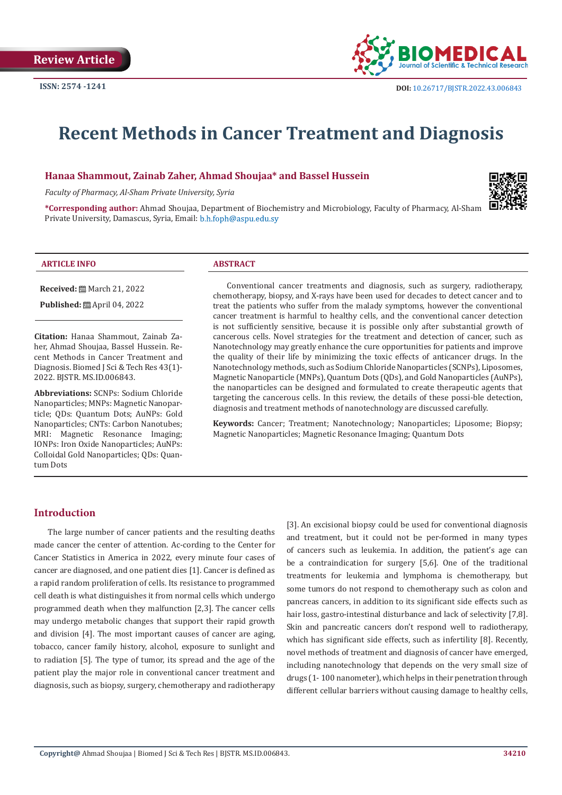

# **Recent Methods in Cancer Treatment and Diagnosis**

# **Hanaa Shammout, Zainab Zaher, Ahmad Shoujaa\* and Bassel Hussein**

*Faculty of Pharmacy, Al-Sham Private University, Syria*



**\*Corresponding author:** Ahmad Shoujaa, Department of Biochemistry and Microbiology, Faculty of Pharmacy, Al-Sham Private University, Damascus, Syria, Email: b.h.foph@aspu.edu.sy

#### **ARTICLE INFO ABSTRACT**

**Received:** March 21, 2022

**Published:** ■ April 04, 2022

**Citation:** Hanaa Shammout, Zainab Zaher, Ahmad Shoujaa, Bassel Hussein. Recent Methods in Cancer Treatment and Diagnosis. Biomed J Sci & Tech Res 43(1)- 2022. BJSTR. MS.ID.006843.

**Abbreviations:** SCNPs: Sodium Chloride Nanoparticles; MNPs: Magnetic Nanoparticle; QDs: Quantum Dots; AuNPs: Gold Nanoparticles; CNTs: Carbon Nanotubes; MRI: Magnetic Resonance Imaging; IONPs: Iron Oxide Nanoparticles; AuNPs: Colloidal Gold Nanoparticles; QDs: Quantum Dots

Conventional cancer treatments and diagnosis, such as surgery, radiotherapy, chemotherapy, biopsy, and X-rays have been used for decades to detect cancer and to treat the patients who suffer from the malady symptoms, however the conventional cancer treatment is harmful to healthy cells, and the conventional cancer detection is not sufficiently sensitive, because it is possible only after substantial growth of cancerous cells. Novel strategies for the treatment and detection of cancer, such as Nanotechnology may greatly enhance the cure opportunities for patients and improve the quality of their life by minimizing the toxic effects of anticancer drugs. In the Nanotechnology methods, such as Sodium Chloride Nanoparticles (SCNPs), Liposomes, Magnetic Nanoparticle (MNPs), Quantum Dots (QDs), and Gold Nanoparticles (AuNPs), the nanoparticles can be designed and formulated to create therapeutic agents that targeting the cancerous cells. In this review, the details of these possi-ble detection, diagnosis and treatment methods of nanotechnology are discussed carefully.

**Keywords:** Cancer; Treatment; Nanotechnology; Nanoparticles; Liposome; Biopsy; Magnetic Nanoparticles; Magnetic Resonance Imaging; Quantum Dots

# **Introduction**

The large number of cancer patients and the resulting deaths made cancer the center of attention. Ac-cording to the Center for Cancer Statistics in America in 2022, every minute four cases of cancer are diagnosed, and one patient dies [1]. Cancer is defined as a rapid random proliferation of cells. Its resistance to programmed cell death is what distinguishes it from normal cells which undergo programmed death when they malfunction [2,3]. The cancer cells may undergo metabolic changes that support their rapid growth and division [4]. The most important causes of cancer are aging, tobacco, cancer family history, alcohol, exposure to sunlight and to radiation [5]. The type of tumor, its spread and the age of the patient play the major role in conventional cancer treatment and diagnosis, such as biopsy, surgery, chemotherapy and radiotherapy

[3]. An excisional biopsy could be used for conventional diagnosis and treatment, but it could not be per-formed in many types of cancers such as leukemia. In addition, the patient's age can be a contraindication for surgery [5,6]. One of the traditional treatments for leukemia and lymphoma is chemotherapy, but some tumors do not respond to chemotherapy such as colon and pancreas cancers, in addition to its significant side effects such as hair loss, gastro-intestinal disturbance and lack of selectivity [7,8]. Skin and pancreatic cancers don't respond well to radiotherapy, which has significant side effects, such as infertility [8]. Recently, novel methods of treatment and diagnosis of cancer have emerged, including nanotechnology that depends on the very small size of drugs (1- 100 nanometer), which helps in their penetration through different cellular barriers without causing damage to healthy cells,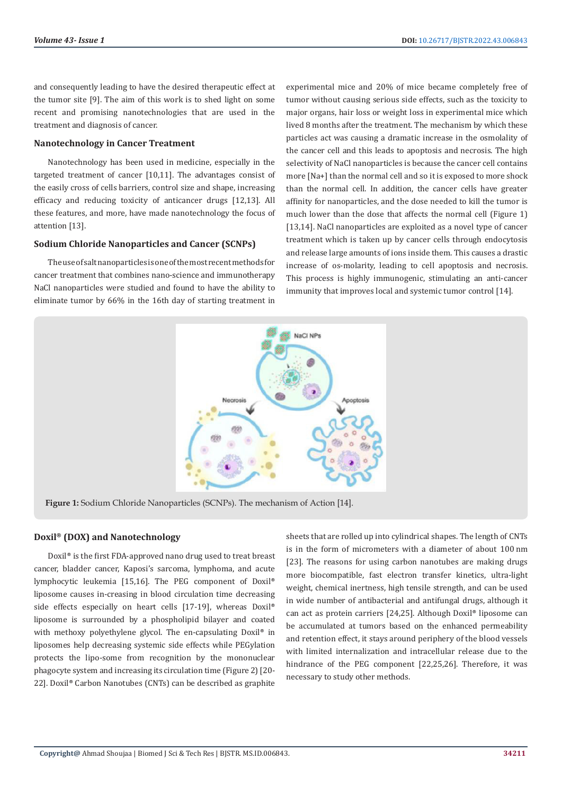and consequently leading to have the desired therapeutic effect at the tumor site [9]. The aim of this work is to shed light on some recent and promising nanotechnologies that are used in the treatment and diagnosis of cancer.

# **Nanotechnology in Cancer Treatment**

Nanotechnology has been used in medicine, especially in the targeted treatment of cancer [10,11]. The advantages consist of the easily cross of cells barriers, control size and shape, increasing efficacy and reducing toxicity of anticancer drugs [12,13]. All these features, and more, have made nanotechnology the focus of attention [13].

# **Sodium Chloride Nanoparticles and Cancer (SCNPs)**

The use of salt nanoparticles is one of the most recent methods for cancer treatment that combines nano-science and immunotherapy NaCl nanoparticles were studied and found to have the ability to eliminate tumor by 66% in the 16th day of starting treatment in

experimental mice and 20% of mice became completely free of tumor without causing serious side effects, such as the toxicity to major organs, hair loss or weight loss in experimental mice which lived 8 months after the treatment. The mechanism by which these particles act was causing a dramatic increase in the osmolality of the cancer cell and this leads to apoptosis and necrosis. The high selectivity of NaCl nanoparticles is because the cancer cell contains more [Na+] than the normal cell and so it is exposed to more shock than the normal cell. In addition, the cancer cells have greater affinity for nanoparticles, and the dose needed to kill the tumor is much lower than the dose that affects the normal cell (Figure 1) [13,14]. NaCl nanoparticles are exploited as a novel type of cancer treatment which is taken up by cancer cells through endocytosis and release large amounts of ions inside them. This causes a drastic increase of os-molarity, leading to cell apoptosis and necrosis. This process is highly immunogenic, stimulating an anti-cancer immunity that improves local and systemic tumor control [14].



**Figure 1:** Sodium Chloride Nanoparticles (SCNPs). The mechanism of Action [14].

#### **Doxil® (DOX) and Nanotechnology**

Doxil® is the first FDA-approved nano drug used to treat breast cancer, bladder cancer, Kaposi's sarcoma, lymphoma, and acute lymphocytic leukemia [15,16]. The PEG component of Doxil® liposome causes in-creasing in blood circulation time decreasing side effects especially on heart cells [17-19], whereas Doxil® liposome is surrounded by a phospholipid bilayer and coated with methoxy polyethylene glycol. The en-capsulating Doxil® in liposomes help decreasing systemic side effects while PEGylation protects the lipo-some from recognition by the mononuclear phagocyte system and increasing its circulation time (Figure 2) [20- 22]. Doxil® Carbon Nanotubes (CNTs) can be described as graphite

sheets that are rolled up into cylindrical shapes. The length of CNTs is in the form of micrometers with a diameter of about 100 nm [23]. The reasons for using carbon nanotubes are making drugs more biocompatible, fast electron transfer kinetics, ultra-light weight, chemical inertness, high tensile strength, and can be used in wide number of antibacterial and antifungal drugs, although it can act as protein carriers [24,25]. Although Doxil® liposome can be accumulated at tumors based on the enhanced permeability and retention effect, it stays around periphery of the blood vessels with limited internalization and intracellular release due to the hindrance of the PEG component [22,25,26]. Therefore, it was necessary to study other methods.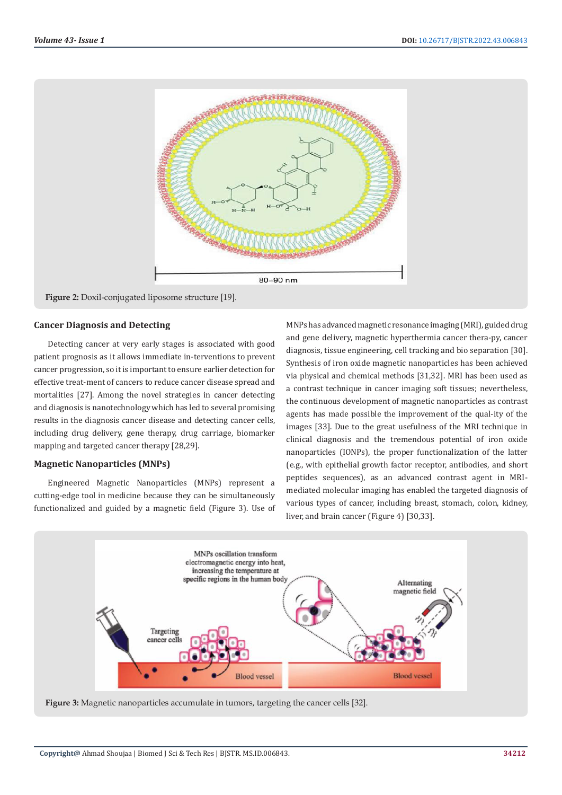

**Figure 2:** Doxil-conjugated liposome structure [19].

#### **Cancer Diagnosis and Detecting**

Detecting cancer at very early stages is associated with good patient prognosis as it allows immediate in-terventions to prevent cancer progression, so it is important to ensure earlier detection for effective treat-ment of cancers to reduce cancer disease spread and mortalities [27]. Among the novel strategies in cancer detecting and diagnosis is nanotechnology which has led to several promising results in the diagnosis cancer disease and detecting cancer cells, including drug delivery, gene therapy, drug carriage, biomarker mapping and targeted cancer therapy [28,29].

# **Magnetic Nanoparticles (MNPs)**

Engineered Magnetic Nanoparticles (MNPs) represent a cutting-edge tool in medicine because they can be simultaneously functionalized and guided by a magnetic field (Figure 3). Use of MNPs has advanced magnetic resonance imaging (MRI), guided drug and gene delivery, magnetic hyperthermia cancer thera-py, cancer diagnosis, tissue engineering, cell tracking and bio separation [30]. Synthesis of iron oxide magnetic nanoparticles has been achieved via physical and chemical methods [31,32]. MRI has been used as a contrast technique in cancer imaging soft tissues; nevertheless, the continuous development of magnetic nanoparticles as contrast agents has made possible the improvement of the qual-ity of the images [33]. Due to the great usefulness of the MRI technique in clinical diagnosis and the tremendous potential of iron oxide nanoparticles (IONPs), the proper functionalization of the latter (e.g., with epithelial growth factor receptor, antibodies, and short peptides sequences), as an advanced contrast agent in MRImediated molecular imaging has enabled the targeted diagnosis of various types of cancer, including breast, stomach, colon, kidney, liver, and brain cancer (Figure 4) [30,33].



**Figure 3:** Magnetic nanoparticles accumulate in tumors, targeting the cancer cells [32].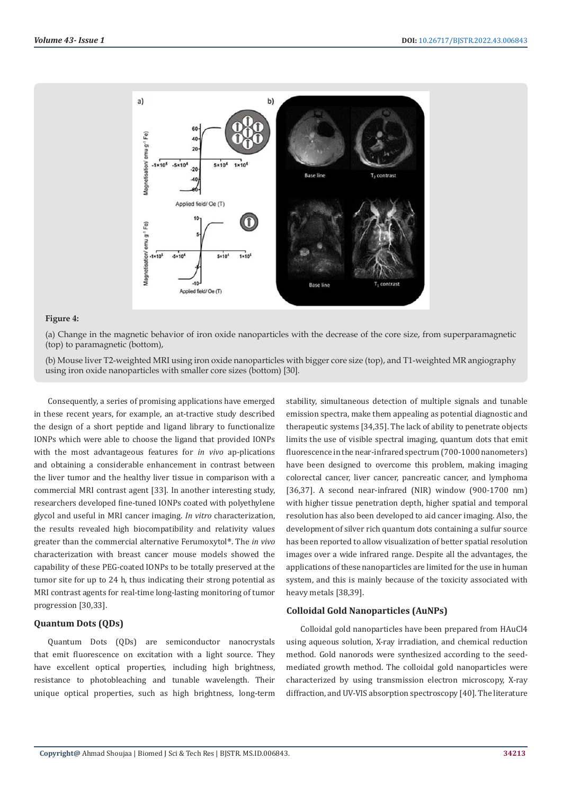

#### **Figure 4:**

(a) Change in the magnetic behavior of iron oxide nanoparticles with the decrease of the core size, from superparamagnetic (top) to paramagnetic (bottom),

(b) Mouse liver T2-weighted MRI using iron oxide nanoparticles with bigger core size (top), and T1-weighted MR angiography using iron oxide nanoparticles with smaller core sizes (bottom) [30].

Consequently, a series of promising applications have emerged in these recent years, for example, an at-tractive study described the design of a short peptide and ligand library to functionalize IONPs which were able to choose the ligand that provided IONPs with the most advantageous features for *in vivo* ap-plications and obtaining a considerable enhancement in contrast between the liver tumor and the healthy liver tissue in comparison with a commercial MRI contrast agent [33]. In another interesting study, researchers developed fine-tuned IONPs coated with polyethylene glycol and useful in MRI cancer imaging. *In vitro* characterization, the results revealed high biocompatibility and relativity values greater than the commercial alternative Ferumoxytol®. The *in vivo* characterization with breast cancer mouse models showed the capability of these PEG-coated IONPs to be totally preserved at the tumor site for up to 24 h, thus indicating their strong potential as MRI contrast agents for real-time long-lasting monitoring of tumor progression [30,33].

#### **Quantum Dots (QDs)**

Quantum Dots (QDs) are semiconductor nanocrystals that emit fluorescence on excitation with a light source. They have excellent optical properties, including high brightness, resistance to photobleaching and tunable wavelength. Their unique optical properties, such as high brightness, long-term stability, simultaneous detection of multiple signals and tunable emission spectra, make them appealing as potential diagnostic and therapeutic systems [34,35]. The lack of ability to penetrate objects limits the use of visible spectral imaging, quantum dots that emit fluorescence in the near-infrared spectrum (700-1000 nanometers) have been designed to overcome this problem, making imaging colorectal cancer, liver cancer, pancreatic cancer, and lymphoma [36,37]. A second near-infrared (NIR) window (900-1700 nm) with higher tissue penetration depth, higher spatial and temporal resolution has also been developed to aid cancer imaging. Also, the development of silver rich quantum dots containing a sulfur source has been reported to allow visualization of better spatial resolution images over a wide infrared range. Despite all the advantages, the applications of these nanoparticles are limited for the use in human system, and this is mainly because of the toxicity associated with heavy metals [38,39].

# **Colloidal Gold Nanoparticles (AuNPs)**

Colloidal gold nanoparticles have been prepared from HAuCl4 using aqueous solution, X-ray irradiation, and chemical reduction method. Gold nanorods were synthesized according to the seedmediated growth method. The colloidal gold nanoparticles were characterized by using transmission electron microscopy, X-ray diffraction, and UV-VIS absorption spectroscopy [40]. The literature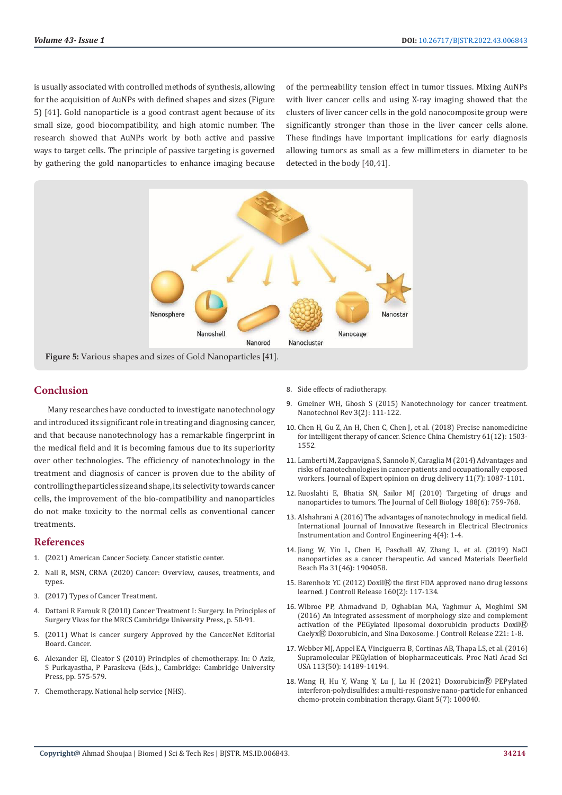is usually associated with controlled methods of synthesis, allowing for the acquisition of AuNPs with defined shapes and sizes (Figure 5) [41]. Gold nanoparticle is a good contrast agent because of its small size, good biocompatibility, and high atomic number. The research showed that AuNPs work by both active and passive ways to target cells. The principle of passive targeting is governed by gathering the gold nanoparticles to enhance imaging because

of the permeability tension effect in tumor tissues. Mixing AuNPs with liver cancer cells and using X-ray imaging showed that the clusters of liver cancer cells in the gold nanocomposite group were significantly stronger than those in the liver cancer cells alone. These findings have important implications for early diagnosis allowing tumors as small as a few millimeters in diameter to be detected in the body [40,41].



# **Conclusion**

Many researches have conducted to investigate nanotechnology and introduced its significant role in treating and diagnosing cancer, and that because nanotechnology has a remarkable fingerprint in the medical field and it is becoming famous due to its superiority over other technologies. The efficiency of nanotechnology in the treatment and diagnosis of cancer is proven due to the ability of controlling the particles size and shape, its selectivity towards cancer cells, the improvement of the bio-compatibility and nanoparticles do not make toxicity to the normal cells as conventional cancer treatments.

# **References**

- 1. (2021) American Cancer Society. Cancer statistic center.
- 2. Nall R, MSN, CRNA (2020) Cancer: Overview, causes, treatments, and types.
- 3. (2017) Types of Cancer Treatment.
- 4. Dattani R Farouk R (2010) Cancer Treatment I: Surgery. In Principles of Surgery Vivas for the MRCS Cambridge University Press, p. 50-91.
- 5. (2011) What is cancer surgery Approved by the Cancer.Net Editorial Board. Cancer.
- 6. Alexander EJ, Cleator S (2010) Principles of chemotherapy. In: O Aziz, S Purkayastha, P Paraskeva (Eds.)., Cambridge: Cambridge University Press, pp. 575-579.
- 7. Chemotherapy. National help service (NHS).
- 8. Side effects of radiotherapy.
- 9. [Gmeiner WH, Ghosh S \(2015\) Nanotechnology for cancer treatment.](https://www.cancer.gov/nano/cancer-nanotechnology/treatment) [Nanotechnol Rev 3\(2\): 111-122.](https://www.cancer.gov/nano/cancer-nanotechnology/treatment)
- 10. [Chen H, Gu Z, An H, Chen C, Chen J, et al. \(2018\) Precise nanomedicine](https://www.researchgate.net/publication/329591036_Precise_nanomedicine_for_intelligent_therapy_of_cancer) [for intelligent therapy of cancer. Science China Chemistry 61\(12\): 1503-](https://www.researchgate.net/publication/329591036_Precise_nanomedicine_for_intelligent_therapy_of_cancer) [1552.](https://www.researchgate.net/publication/329591036_Precise_nanomedicine_for_intelligent_therapy_of_cancer)
- 11. [Lamberti M, Zappavigna S, Sannolo N, Caraglia M \(2014\) Advantages and](https://pubmed.ncbi.nlm.nih.gov/24773227/) [risks of nanotechnologies in cancer patients and occupationally exposed](https://pubmed.ncbi.nlm.nih.gov/24773227/) [workers. Journal of Expert opinion on drug delivery 11\(7\): 1087-1101.](https://pubmed.ncbi.nlm.nih.gov/24773227/)
- 12. [Ruoslahti E, Bhatia SN, Sailor MJ \(2010\) Targeting of drugs and](https://rupress.org/jcb/article/188/6/759/35749/Targeting-of-drugs-and-nanoparticles-to) [nanoparticles to tumors. The Journal of Cell Biology 188\(6\): 759-768.](https://rupress.org/jcb/article/188/6/759/35749/Targeting-of-drugs-and-nanoparticles-to)
- 13. [Alshahrani A \(2016\) The advantages of nanotechnology in medical field.](https://ijireeice.com/wp-content/uploads/2014/12/IJIREEICE-1.pdf) [International Journal of Innovative Research in Electrical Electronics](https://ijireeice.com/wp-content/uploads/2014/12/IJIREEICE-1.pdf) [Instrumentation and Control Engineering 4\(4\): 1-4.](https://ijireeice.com/wp-content/uploads/2014/12/IJIREEICE-1.pdf)
- 14. [Jiang W, Yin L, Chen H, Paschall AV, Zhang L, et al. \(2019\) NaCl](https://pubmed.ncbi.nlm.nih.gov/31553099/) [nanoparticles as a cancer therapeutic. Ad vanced Materials Deerfield](https://pubmed.ncbi.nlm.nih.gov/31553099/) [Beach Fla 31\(46\): 1904058.](https://pubmed.ncbi.nlm.nih.gov/31553099/)
- 15. Barenholz YC (2012) Doxil<sup>®</sup> [the first FDA approved nano drug lessons](https://pubmed.ncbi.nlm.nih.gov/22484195/) [learned. J Controll Release 160\(2\): 117-134.](https://pubmed.ncbi.nlm.nih.gov/22484195/)
- 16. [Wibroe PP, Ahmadvand D, Oghabian MA, Yaghmur A, Moghimi SM](https://pubmed.ncbi.nlm.nih.gov/26608877/) [\(2016\) An integrated assessment of morphology size and complement](https://pubmed.ncbi.nlm.nih.gov/26608877/) [activation of the PEGylated liposomal doxorubicin products Doxil](https://pubmed.ncbi.nlm.nih.gov/26608877/)<sup>®</sup> CaelyxⓇ [Doxorubicin, and Sina Doxosome. J Controll Release 221: 1-8.](https://pubmed.ncbi.nlm.nih.gov/26608877/)
- 17. [Webber MJ, Appel EA, Vinciguerra B, Cortinas AB, Thapa LS, et al. \(2016\)](https://pubmed.ncbi.nlm.nih.gov/27911829/) [Supramolecular PEGylation of biopharmaceuticals. Proc Natl Acad Sci](https://pubmed.ncbi.nlm.nih.gov/27911829/) [USA 113\(50\): 14189-14194.](https://pubmed.ncbi.nlm.nih.gov/27911829/)
- 18. [Wang H, Hu Y, Wang Y, Lu J, Lu H \(2021\) Doxorubicin](https://www.chem.pku.edu.cn/luhua/docs/20201223103708075287.pdf)Ⓡ PEPylated [interferon-polydisulfides: a multi-responsive nano-particle for enhanced](https://www.chem.pku.edu.cn/luhua/docs/20201223103708075287.pdf) [chemo-protein combination therapy. Giant 5\(7\): 100040.](https://www.chem.pku.edu.cn/luhua/docs/20201223103708075287.pdf)